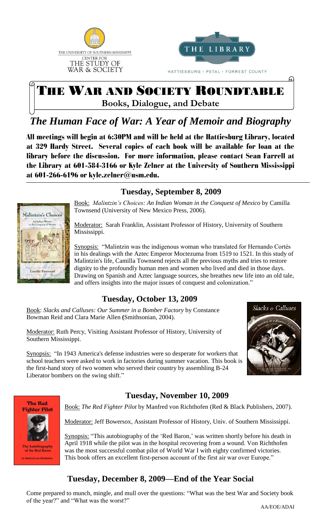



# THE WAR AND SOCIETY ROUNDTABLE

**Books, Dialogue, and Debate**

# *The Human Face of War: A Year of Memoir and Biography*

All meetings will begin at 6:30PM and will be held at the Hattiesburg Library, located at 329 Hardy Street. Several copies of each book will be available for loan at the library before the discussion. For more information, please contact Sean Farrell at the Library at 601-584-3166 or Kyle Zelner at the University of Southern Mississippi at 601-266-6196 or kyle.zelner@usm.edu. 1



#### **Tuesday, September 8, 2009**

Book: *Malintzin's Choices: An Indian Woman in the Conquest of Mexico* by Camilla Townsend (University of New Mexico Press, 2006).

Moderator: Sarah Franklin, Assistant Professor of History, University of Southern Mississippi.

Synopsis: "Malintzin was the indigenous woman who translated for Hernando Cortés in his dealings with the Aztec Emperor Moctezuma from 1519 to 1521. In this study of Malintzin's life, Camilla Townsend rejects all the previous myths and tries to restore dignity to the profoundly human men and women who lived and died in those days. Drawing on Spanish and Aztec language sources, she breathes new life into an old tale, and offers insights into the major issues of conquest and colonization."

## **Tuesday, October 13, 2009**

Book: *Slacks and Calluses: Our Summer in a Bomber Factory* by Constance Bowman Reid and Clara Marie Allen **(**Smithsonian, 2004).

Moderator: Ruth Percy, Visiting Assistant Professor of History, University of Southern Mississippi.



ω

Synopsis: "In 1943 America's defense industries were so desperate for workers that school teachers were asked to work in factories during summer vacation. This book is the first-hand story of two women who served their country by assembling B-24 Liberator bombers on the swing shift."





iography the Red Baro ations it can

#### **Tuesday, November 10, 2009**

Book: *The Red Fighter Pilot* by Manfred von Richthofen (Red & Black Publishers, 2007).

Moderator: Jeff Bowersox, Assistant Professor of History, Univ. of Southern Mississippi.

Synopsis: "This autobiography of the 'Red Baron,' was written shortly before his death in April 1918 while the pilot was in the hospital recovering from a wound. Von Richthofen was the most successful combat pilot of World War I with eighty confirmed victories. This book offers an excellent first-person account of the first air war over Europe."

## **Tuesday, December 8, 2009—End of the Year Social**

Come prepared to munch, mingle, and mull over the questions: "What was the best War and Society book of the year?" and "What was the worst?"